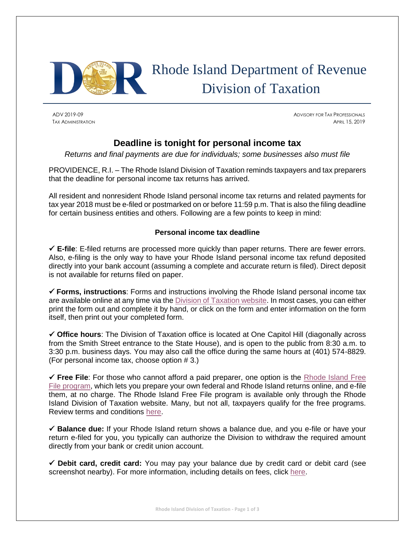

# Rhode Island Department of Revenue Division of Taxation

ADV 2019-09 ADVISORY FOR TAX PROFESSIONALS Tax Administration **April 15, 2019** 

# **Deadline is tonight for personal income tax**

*Returns and final payments are due for individuals; some businesses also must file*

PROVIDENCE, R.I. – The Rhode Island Division of Taxation reminds taxpayers and tax preparers that the deadline for personal income tax returns has arrived.

All resident and nonresident Rhode Island personal income tax returns and related payments for tax year 2018 must be e-filed or postmarked on or before 11:59 p.m. That is also the filing deadline for certain business entities and others. Following are a few points to keep in mind:

## **Personal income tax deadline**

✓ **E-file**: E-filed returns are processed more quickly than paper returns. There are fewer errors. Also, e-filing is the only way to have your Rhode Island personal income tax refund deposited directly into your bank account (assuming a complete and accurate return is filed). Direct deposit is not available for returns filed on paper.

✓ **Forms, instructions**: Forms and instructions involving the Rhode Island personal income tax are available online at any time via the [Division of Taxation website.](http://www.tax.ri.gov/taxforms/personal.php) In most cases, you can either print the form out and complete it by hand, or click on the form and enter information on the form itself, then print out your completed form.

✓ **Office hours**: The Division of Taxation office is located at One Capitol Hill (diagonally across from the Smith Street entrance to the State House), and is open to the public from 8:30 a.m. to 3:30 p.m. business days. You may also call the office during the same hours at (401) 574-8829. (For personal income tax, choose option # 3.)

✓ **Free File**: For those who cannot afford a paid preparer, one option is the [Rhode Island Free](http://www.tax.ri.gov/misc/efile.php)  [File program,](http://www.tax.ri.gov/misc/efile.php) which lets you prepare your own federal and Rhode Island returns online, and e-file them, at no charge. The Rhode Island Free File program is available only through the Rhode Island Division of Taxation website. Many, but not all, taxpayers qualify for the free programs. Review terms and conditions [here.](http://www.tax.ri.gov/misc/efile.php)

✓ **Balance due:** If your Rhode Island return shows a balance due, and you e-file or have your return e-filed for you, you typically can authorize the Division to withdraw the required amount directly from your bank or credit union account.

✓ **Debit card, credit card:** You may pay your balance due by credit card or debit card (see screenshot nearby). For more information, including details on fees, click [here.](http://www.tax.ri.gov/misc/creditcard.php)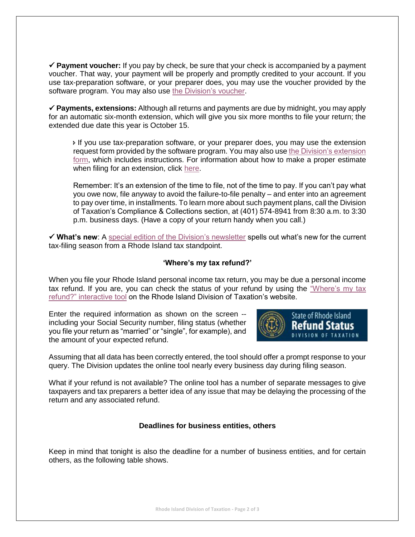✓ **Payment voucher:** If you pay by check, be sure that your check is accompanied by a payment voucher. That way, your payment will be properly and promptly credited to your account. If you use tax-preparation software, or your preparer does, you may use the voucher provided by the software program. You may also use [the Division's voucher.](http://www.tax.ri.gov/forms/2018/Income/2018%20RI-1040V_Onem.pdf)

✓ **Payments, extensions:** Although all returns and payments are due by midnight, you may apply for an automatic six-month extension, which will give you six more months to file your return; the extended due date this year is October 15.

 If you use tax-preparation software, or your preparer does, you may use the extension request form provided by the software program. You may also use [the Division's extension](http://www.tax.ri.gov/forms/2018/Income/2018%20RI-4868_Onem.pdf)  [form,](http://www.tax.ri.gov/forms/2018/Income/2018%20RI-4868_Onem.pdf) which includes instructions. For information about how to make a proper estimate when filing for an extension, click [here.](http://www.tax.ri.gov/newsletter/Rhode%20Island%20Division%20of%20Taxation%20newsletter%20-%202nd%20Q%202013.pdf)

Remember: It's an extension of the time to file, not of the time to pay. If you can't pay what you owe now, file anyway to avoid the failure-to-file penalty – and enter into an agreement to pay over time, in installments. To learn more about such payment plans, call the Division of Taxation's Compliance & Collections section, at (401) 574-8941 from 8:30 a.m. to 3:30 p.m. business days. (Have a copy of your return handy when you call.)

✓ **What's new**: A [special edition of the Division's newsletter](http://www.tax.ri.gov/newsletter/Rhode_Island_Division_of_Taxation_Newsletter_Filing_Season_2019.pdf) spells out what's new for the current tax-filing season from a Rhode Island tax standpoint.

### **'Where's my tax refund?'**

When you file your Rhode Island personal income tax return, you may be due a personal income tax refund. If you are, you can check the status of your refund by using the ["Where's my tax](https://www.ri.gov/taxation/refund/)  [refund?" interactive tool](https://www.ri.gov/taxation/refund/) on the Rhode Island Division of Taxation's website.

Enter the required information as shown on the screen - including your Social Security number, filing status (whether you file your return as "married" or "single", for example), and the amount of your expected refund.



Assuming that all data has been correctly entered, the tool should offer a prompt response to your query. The Division updates the online tool nearly every business day during filing season.

What if your refund is not available? The online tool has a number of separate messages to give taxpayers and tax preparers a better idea of any issue that may be delaying the processing of the return and any associated refund.

#### **Deadlines for business entities, others**

Keep in mind that tonight is also the deadline for a number of business entities, and for certain others, as the following table shows.